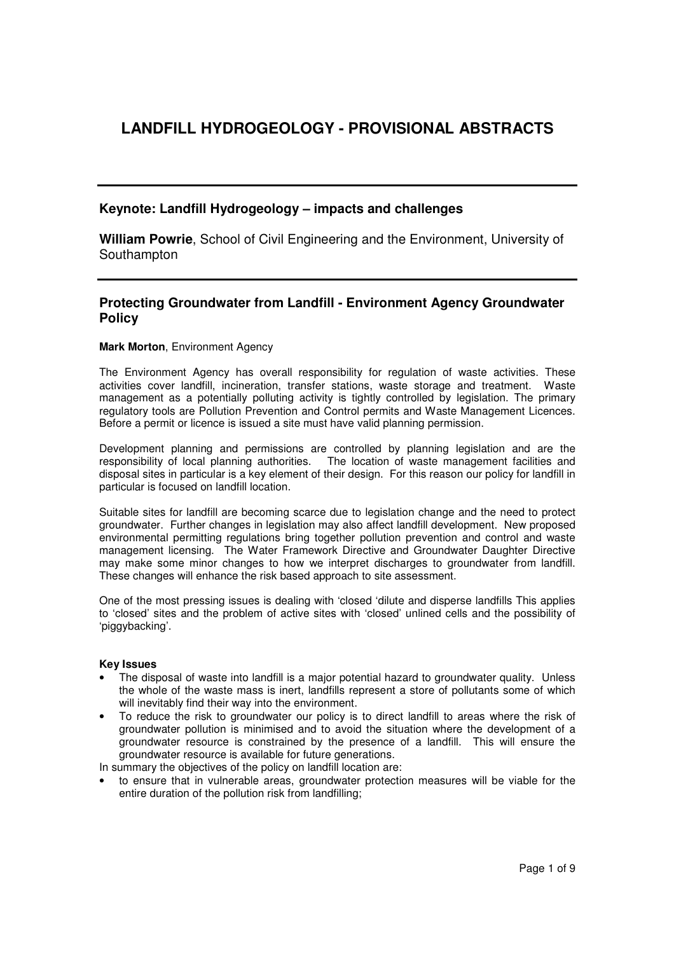# **LANDFILL HYDROGEOLOGY - PROVISIONAL ABSTRACTS**

# **Keynote: Landfill Hydrogeology – impacts and challenges**

**William Powrie**, School of Civil Engineering and the Environment, University of Southampton

### **Protecting Groundwater from Landfill - Environment Agency Groundwater Policy**

#### **Mark Morton**, Environment Agency

The Environment Agency has overall responsibility for regulation of waste activities. These activities cover landfill, incineration, transfer stations, waste storage and treatment. Waste management as a potentially polluting activity is tightly controlled by legislation. The primary regulatory tools are Pollution Prevention and Control permits and Waste Management Licences. Before a permit or licence is issued a site must have valid planning permission.

Development planning and permissions are controlled by planning legislation and are the responsibility of local planning authorities. The location of waste management facilities and disposal sites in particular is a key element of their design. For this reason our policy for landfill in particular is focused on landfill location.

Suitable sites for landfill are becoming scarce due to legislation change and the need to protect groundwater. Further changes in legislation may also affect landfill development. New proposed environmental permitting regulations bring together pollution prevention and control and waste management licensing. The Water Framework Directive and Groundwater Daughter Directive may make some minor changes to how we interpret discharges to groundwater from landfill. These changes will enhance the risk based approach to site assessment.

One of the most pressing issues is dealing with 'closed 'dilute and disperse landfills This applies to 'closed' sites and the problem of active sites with 'closed' unlined cells and the possibility of 'piggybacking'.

#### **Key Issues**

- The disposal of waste into landfill is a major potential hazard to groundwater quality. Unless the whole of the waste mass is inert, landfills represent a store of pollutants some of which will inevitably find their way into the environment.
- To reduce the risk to groundwater our policy is to direct landfill to areas where the risk of groundwater pollution is minimised and to avoid the situation where the development of a groundwater resource is constrained by the presence of a landfill. This will ensure the groundwater resource is available for future generations.

In summary the objectives of the policy on landfill location are:

• to ensure that in vulnerable areas, groundwater protection measures will be viable for the entire duration of the pollution risk from landfilling;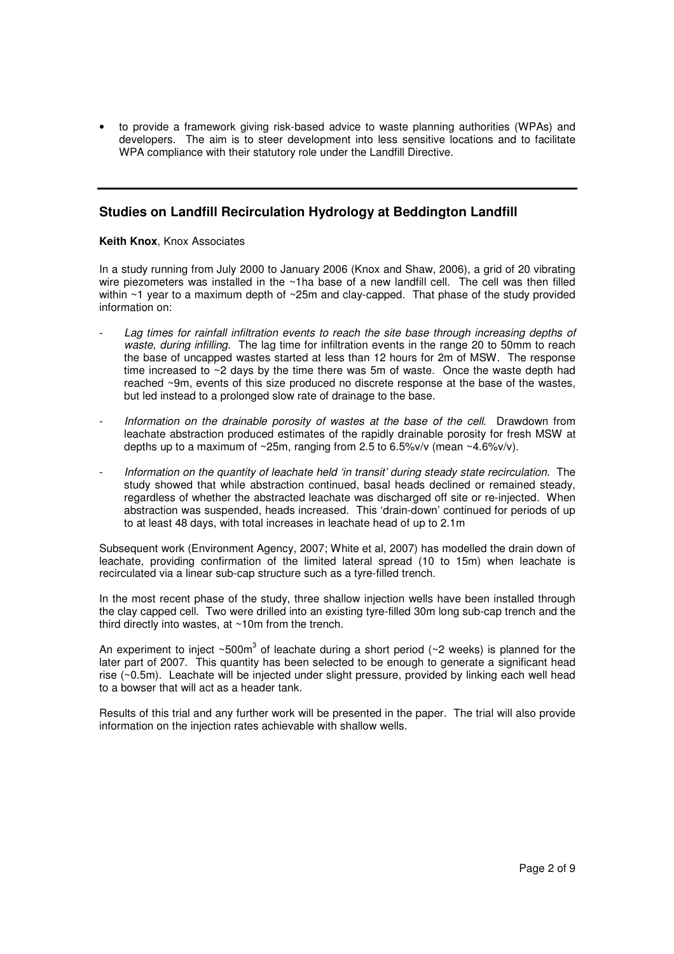• to provide a framework giving risk-based advice to waste planning authorities (WPAs) and developers. The aim is to steer development into less sensitive locations and to facilitate WPA compliance with their statutory role under the Landfill Directive.

### **Studies on Landfill Recirculation Hydrology at Beddington Landfill**

#### **Keith Knox**, Knox Associates

In a study running from July 2000 to January 2006 (Knox and Shaw, 2006), a grid of 20 vibrating wire piezometers was installed in the ~1ha base of a new landfill cell. The cell was then filled within  $\sim$ 1 year to a maximum depth of  $\sim$ 25m and clay-capped. That phase of the study provided information on:

- Lag times for rainfall infiltration events to reach the site base through increasing depths of waste, during infilling. The lag time for infiltration events in the range 20 to 50mm to reach the base of uncapped wastes started at less than 12 hours for 2m of MSW. The response time increased to ~2 days by the time there was 5m of waste. Once the waste depth had reached ~9m, events of this size produced no discrete response at the base of the wastes, but led instead to a prolonged slow rate of drainage to the base.
- Information on the drainable porosity of wastes at the base of the cell. Drawdown from leachate abstraction produced estimates of the rapidly drainable porosity for fresh MSW at depths up to a maximum of ~25m, ranging from 2.5 to 6.5%v/v (mean ~4.6%v/v).
- Information on the quantity of leachate held 'in transit' during steady state recirculation. The study showed that while abstraction continued, basal heads declined or remained steady, regardless of whether the abstracted leachate was discharged off site or re-injected. When abstraction was suspended, heads increased. This 'drain-down' continued for periods of up to at least 48 days, with total increases in leachate head of up to 2.1m

Subsequent work (Environment Agency, 2007; White et al, 2007) has modelled the drain down of leachate, providing confirmation of the limited lateral spread (10 to 15m) when leachate is recirculated via a linear sub-cap structure such as a tyre-filled trench.

In the most recent phase of the study, three shallow injection wells have been installed through the clay capped cell. Two were drilled into an existing tyre-filled 30m long sub-cap trench and the third directly into wastes, at ~10m from the trench.

An experiment to inject ~500m<sup>3</sup> of leachate during a short period (~2 weeks) is planned for the later part of 2007. This quantity has been selected to be enough to generate a significant head rise (~0.5m). Leachate will be injected under slight pressure, provided by linking each well head to a bowser that will act as a header tank.

Results of this trial and any further work will be presented in the paper. The trial will also provide information on the injection rates achievable with shallow wells.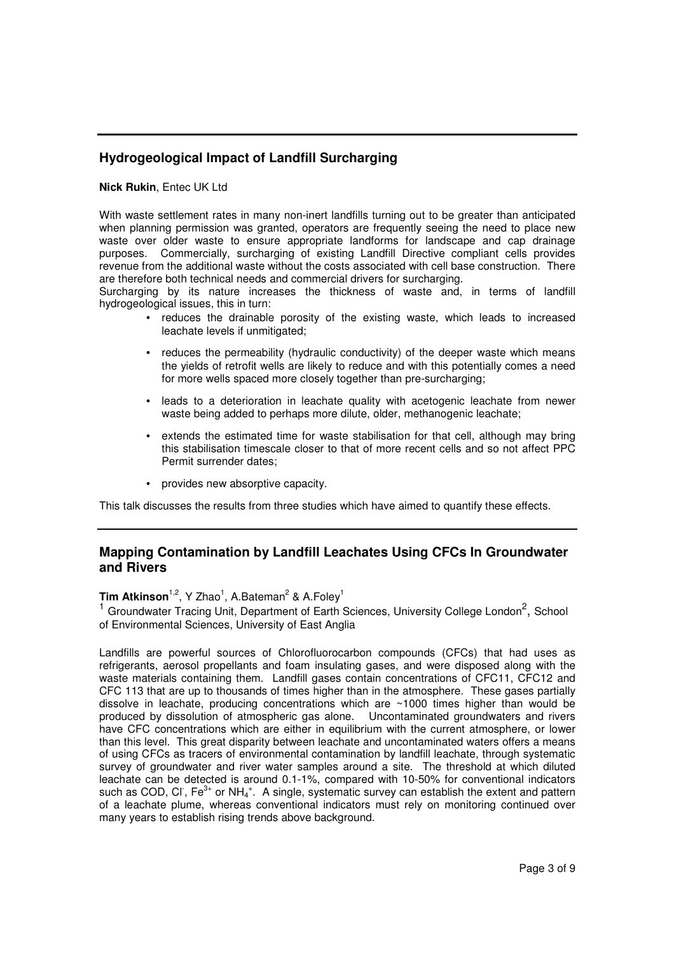# **Hydrogeological Impact of Landfill Surcharging**

#### **Nick Rukin**, Entec UK Ltd

With waste settlement rates in many non-inert landfills turning out to be greater than anticipated when planning permission was granted, operators are frequently seeing the need to place new waste over older waste to ensure appropriate landforms for landscape and cap drainage purposes. Commercially, surcharging of existing Landfill Directive compliant cells provides revenue from the additional waste without the costs associated with cell base construction. There are therefore both technical needs and commercial drivers for surcharging.

Surcharging by its nature increases the thickness of waste and, in terms of landfill hydrogeological issues, this in turn:

- reduces the drainable porosity of the existing waste, which leads to increased leachate levels if unmitigated;
- reduces the permeability (hydraulic conductivity) of the deeper waste which means the yields of retrofit wells are likely to reduce and with this potentially comes a need for more wells spaced more closely together than pre-surcharging;
- leads to a deterioration in leachate quality with acetogenic leachate from newer waste being added to perhaps more dilute, older, methanogenic leachate;
- extends the estimated time for waste stabilisation for that cell, although may bring this stabilisation timescale closer to that of more recent cells and so not affect PPC Permit surrender dates;
- provides new absorptive capacity.

This talk discusses the results from three studies which have aimed to quantify these effects.

# **Mapping Contamination by Landfill Leachates Using CFCs In Groundwater and Rivers**

**Tim Atkinson**<sup>1,2</sup>, Y Zhao<sup>1</sup>, A.Bateman<sup>2</sup> & A.Foley<sup>1</sup> <sup>1</sup> Groundwater Tracing Unit, Department of Earth Sciences, University College London<sup>2</sup>, School of Environmental Sciences, University of East Anglia

Landfills are powerful sources of Chlorofluorocarbon compounds (CFCs) that had uses as refrigerants, aerosol propellants and foam insulating gases, and were disposed along with the waste materials containing them. Landfill gases contain concentrations of CFC11, CFC12 and CFC 113 that are up to thousands of times higher than in the atmosphere. These gases partially dissolve in leachate, producing concentrations which are  $~1000$  times higher than would be produced by dissolution of atmospheric gas alone. Uncontaminated groundwaters and rivers have CFC concentrations which are either in equilibrium with the current atmosphere, or lower than this level. This great disparity between leachate and uncontaminated waters offers a means of using CFCs as tracers of environmental contamination by landfill leachate, through systematic survey of groundwater and river water samples around a site. The threshold at which diluted leachate can be detected is around 0.1-1%, compared with 10-50% for conventional indicators such as COD, CI, Fe<sup>3+</sup> or NH<sub>4</sub><sup>+</sup>. A single, systematic survey can establish the extent and pattern of a leachate plume, whereas conventional indicators must rely on monitoring continued over many years to establish rising trends above background.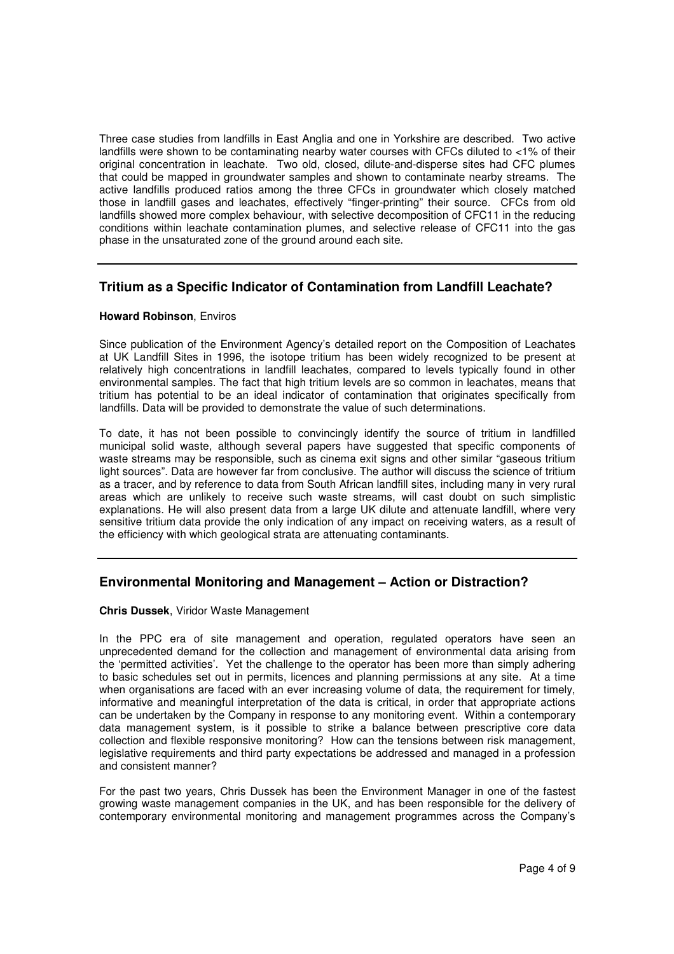Three case studies from landfills in East Anglia and one in Yorkshire are described. Two active landfills were shown to be contaminating nearby water courses with CFCs diluted to <1% of their original concentration in leachate. Two old, closed, dilute-and-disperse sites had CFC plumes that could be mapped in groundwater samples and shown to contaminate nearby streams. The active landfills produced ratios among the three CFCs in groundwater which closely matched those in landfill gases and leachates, effectively "finger-printing" their source. CFCs from old landfills showed more complex behaviour, with selective decomposition of CFC11 in the reducing conditions within leachate contamination plumes, and selective release of CFC11 into the gas phase in the unsaturated zone of the ground around each site.

# **Tritium as a Specific Indicator of Contamination from Landfill Leachate?**

#### **Howard Robinson**, Enviros

Since publication of the Environment Agency's detailed report on the Composition of Leachates at UK Landfill Sites in 1996, the isotope tritium has been widely recognized to be present at relatively high concentrations in landfill leachates, compared to levels typically found in other environmental samples. The fact that high tritium levels are so common in leachates, means that tritium has potential to be an ideal indicator of contamination that originates specifically from landfills. Data will be provided to demonstrate the value of such determinations.

To date, it has not been possible to convincingly identify the source of tritium in landfilled municipal solid waste, although several papers have suggested that specific components of waste streams may be responsible, such as cinema exit signs and other similar "gaseous tritium light sources". Data are however far from conclusive. The author will discuss the science of tritium as a tracer, and by reference to data from South African landfill sites, including many in very rural areas which are unlikely to receive such waste streams, will cast doubt on such simplistic explanations. He will also present data from a large UK dilute and attenuate landfill, where very sensitive tritium data provide the only indication of any impact on receiving waters, as a result of the efficiency with which geological strata are attenuating contaminants.

# **Environmental Monitoring and Management – Action or Distraction?**

#### **Chris Dussek**, Viridor Waste Management

In the PPC era of site management and operation, regulated operators have seen an unprecedented demand for the collection and management of environmental data arising from the 'permitted activities'. Yet the challenge to the operator has been more than simply adhering to basic schedules set out in permits, licences and planning permissions at any site. At a time when organisations are faced with an ever increasing volume of data, the requirement for timely, informative and meaningful interpretation of the data is critical, in order that appropriate actions can be undertaken by the Company in response to any monitoring event. Within a contemporary data management system, is it possible to strike a balance between prescriptive core data collection and flexible responsive monitoring? How can the tensions between risk management, legislative requirements and third party expectations be addressed and managed in a profession and consistent manner?

For the past two years, Chris Dussek has been the Environment Manager in one of the fastest growing waste management companies in the UK, and has been responsible for the delivery of contemporary environmental monitoring and management programmes across the Company's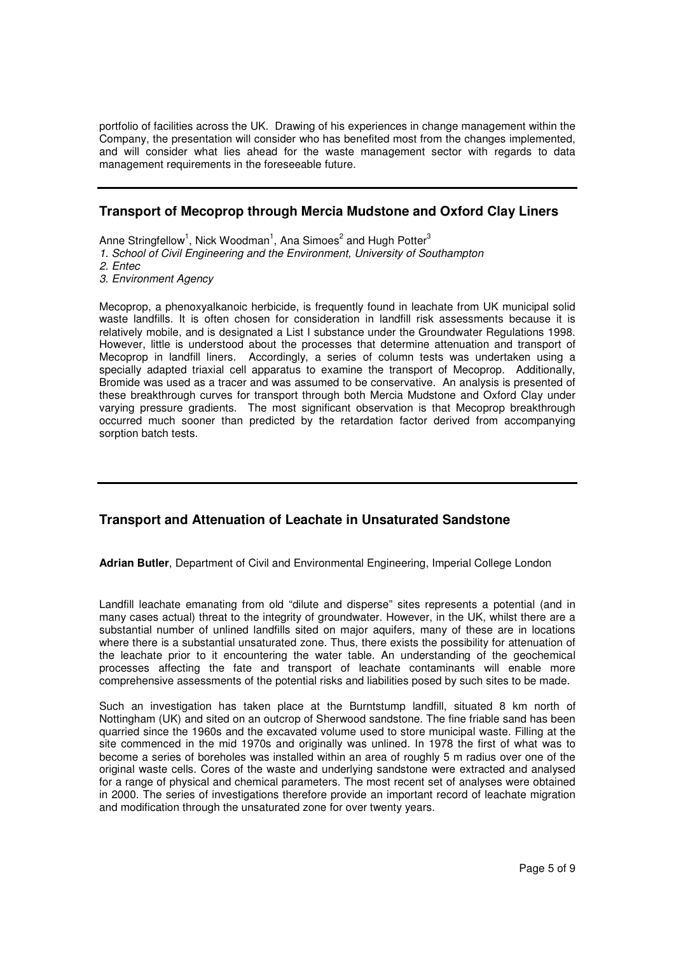portfolio of facilities across the UK. Drawing of his experiences in change management within the Company, the presentation will consider who has benefited most from the changes implemented, and will consider what lies ahead for the waste management sector with regards to data management requirements in the foreseeable future.

# **Transport of Mecoprop through Mercia Mudstone and Oxford Clay Liners**

Anne Stringfellow<sup>1</sup>, Nick Woodman<sup>1</sup>, Ana Simoes<sup>2</sup> and Hugh Potter<sup>3</sup>

1. School of Civil Engineering and the Environment, University of Southampton

2. Entec

3. Environment Agency

Mecoprop, a phenoxyalkanoic herbicide, is frequently found in leachate from UK municipal solid waste landfills. It is often chosen for consideration in landfill risk assessments because it is relatively mobile, and is designated a List I substance under the Groundwater Regulations 1998. However, little is understood about the processes that determine attenuation and transport of Mecoprop in landfill liners. Accordingly, a series of column tests was undertaken using a specially adapted triaxial cell apparatus to examine the transport of Mecoprop. Additionally, Bromide was used as a tracer and was assumed to be conservative. An analysis is presented of these breakthrough curves for transport through both Mercia Mudstone and Oxford Clay under varying pressure gradients. The most significant observation is that Mecoprop breakthrough occurred much sooner than predicted by the retardation factor derived from accompanying sorption batch tests.

# **Transport and Attenuation of Leachate in Unsaturated Sandstone**

**Adrian Butler**, Department of Civil and Environmental Engineering, Imperial College London

Landfill leachate emanating from old "dilute and disperse" sites represents a potential (and in many cases actual) threat to the integrity of groundwater. However, in the UK, whilst there are a substantial number of unlined landfills sited on major aquifers, many of these are in locations where there is a substantial unsaturated zone. Thus, there exists the possibility for attenuation of the leachate prior to it encountering the water table. An understanding of the geochemical processes affecting the fate and transport of leachate contaminants will enable more comprehensive assessments of the potential risks and liabilities posed by such sites to be made.

Such an investigation has taken place at the Burntstump landfill, situated 8 km north of Nottingham (UK) and sited on an outcrop of Sherwood sandstone. The fine friable sand has been quarried since the 1960s and the excavated volume used to store municipal waste. Filling at the site commenced in the mid 1970s and originally was unlined. In 1978 the first of what was to become a series of boreholes was installed within an area of roughly 5 m radius over one of the original waste cells. Cores of the waste and underlying sandstone were extracted and analysed for a range of physical and chemical parameters. The most recent set of analyses were obtained in 2000. The series of investigations therefore provide an important record of leachate migration and modification through the unsaturated zone for over twenty years.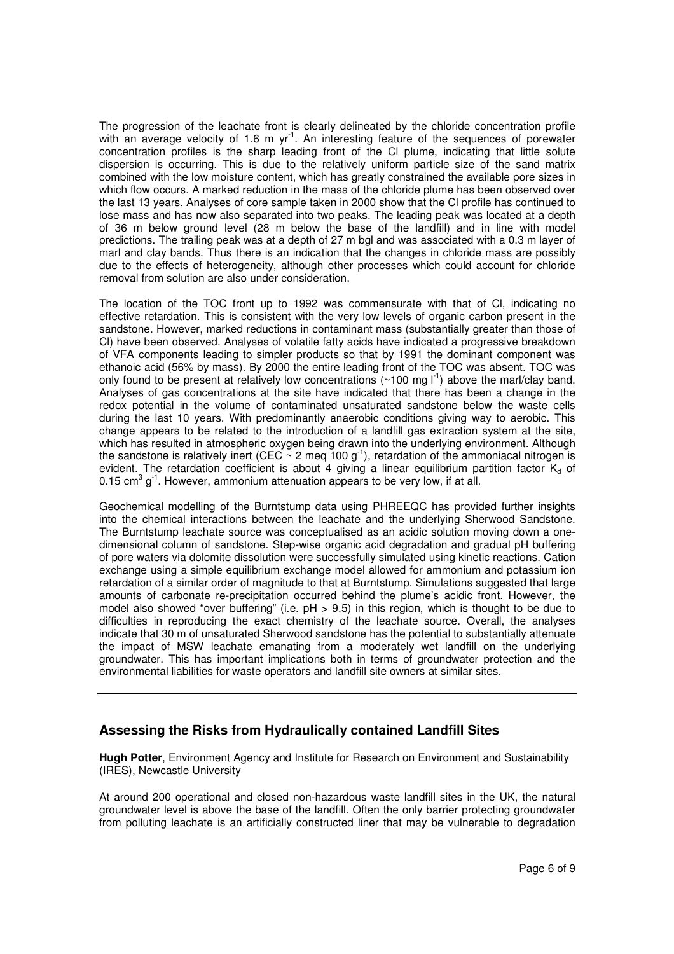The progression of the leachate front is clearly delineated by the chloride concentration profile with an average velocity of 1.6 m  $yr^{-1}$ . An interesting feature of the sequences of porewater concentration profiles is the sharp leading front of the Cl plume, indicating that little solute dispersion is occurring. This is due to the relatively uniform particle size of the sand matrix combined with the low moisture content, which has greatly constrained the available pore sizes in which flow occurs. A marked reduction in the mass of the chloride plume has been observed over the last 13 years. Analyses of core sample taken in 2000 show that the Cl profile has continued to lose mass and has now also separated into two peaks. The leading peak was located at a depth of 36 m below ground level (28 m below the base of the landfill) and in line with model predictions. The trailing peak was at a depth of 27 m bgl and was associated with a 0.3 m layer of marl and clay bands. Thus there is an indication that the changes in chloride mass are possibly due to the effects of heterogeneity, although other processes which could account for chloride removal from solution are also under consideration.

The location of the TOC front up to 1992 was commensurate with that of Cl, indicating no effective retardation. This is consistent with the very low levels of organic carbon present in the sandstone. However, marked reductions in contaminant mass (substantially greater than those of Cl) have been observed. Analyses of volatile fatty acids have indicated a progressive breakdown of VFA components leading to simpler products so that by 1991 the dominant component was ethanoic acid (56% by mass). By 2000 the entire leading front of the TOC was absent. TOC was only found to be present at relatively low concentrations  $(\sim 100 \text{ mg} l^{-1})$  above the marl/clay band. Analyses of gas concentrations at the site have indicated that there has been a change in the redox potential in the volume of contaminated unsaturated sandstone below the waste cells during the last 10 years. With predominantly anaerobic conditions giving way to aerobic. This change appears to be related to the introduction of a landfill gas extraction system at the site, which has resulted in atmospheric oxygen being drawn into the underlying environment. Although the sandstone is relatively inert (CEC  $\sim$  2 meq 100 g<sup>-1</sup>), retardation of the ammoniacal nitrogen is evident. The retardation coefficient is about 4 giving a linear equilibrium partition factor  $K_d$  of 0.15 cm<sup>3</sup> g<sup>-1</sup>. However, ammonium attenuation appears to be very low, if at all.

Geochemical modelling of the Burntstump data using PHREEQC has provided further insights into the chemical interactions between the leachate and the underlying Sherwood Sandstone. The Burntstump leachate source was conceptualised as an acidic solution moving down a onedimensional column of sandstone. Step-wise organic acid degradation and gradual pH buffering of pore waters via dolomite dissolution were successfully simulated using kinetic reactions. Cation exchange using a simple equilibrium exchange model allowed for ammonium and potassium ion retardation of a similar order of magnitude to that at Burntstump. Simulations suggested that large amounts of carbonate re-precipitation occurred behind the plume's acidic front. However, the model also showed "over buffering" (i.e. pH > 9.5) in this region, which is thought to be due to difficulties in reproducing the exact chemistry of the leachate source. Overall, the analyses indicate that 30 m of unsaturated Sherwood sandstone has the potential to substantially attenuate the impact of MSW leachate emanating from a moderately wet landfill on the underlying groundwater. This has important implications both in terms of groundwater protection and the environmental liabilities for waste operators and landfill site owners at similar sites.

### **Assessing the Risks from Hydraulically contained Landfill Sites**

**Hugh Potter**, Environment Agency and Institute for Research on Environment and Sustainability (IRES), Newcastle University

At around 200 operational and closed non-hazardous waste landfill sites in the UK, the natural groundwater level is above the base of the landfill. Often the only barrier protecting groundwater from polluting leachate is an artificially constructed liner that may be vulnerable to degradation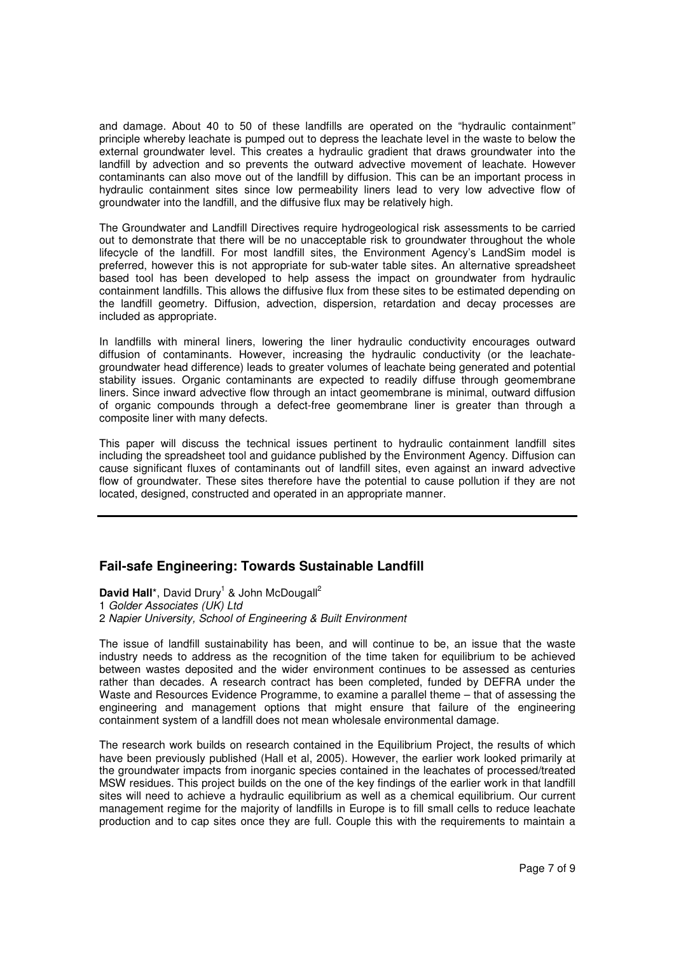and damage. About 40 to 50 of these landfills are operated on the "hydraulic containment" principle whereby leachate is pumped out to depress the leachate level in the waste to below the external groundwater level. This creates a hydraulic gradient that draws groundwater into the landfill by advection and so prevents the outward advective movement of leachate. However contaminants can also move out of the landfill by diffusion. This can be an important process in hydraulic containment sites since low permeability liners lead to very low advective flow of groundwater into the landfill, and the diffusive flux may be relatively high.

The Groundwater and Landfill Directives require hydrogeological risk assessments to be carried out to demonstrate that there will be no unacceptable risk to groundwater throughout the whole lifecycle of the landfill. For most landfill sites, the Environment Agency's LandSim model is preferred, however this is not appropriate for sub-water table sites. An alternative spreadsheet based tool has been developed to help assess the impact on groundwater from hydraulic containment landfills. This allows the diffusive flux from these sites to be estimated depending on the landfill geometry. Diffusion, advection, dispersion, retardation and decay processes are included as appropriate.

In landfills with mineral liners, lowering the liner hydraulic conductivity encourages outward diffusion of contaminants. However, increasing the hydraulic conductivity (or the leachategroundwater head difference) leads to greater volumes of leachate being generated and potential stability issues. Organic contaminants are expected to readily diffuse through geomembrane liners. Since inward advective flow through an intact geomembrane is minimal, outward diffusion of organic compounds through a defect-free geomembrane liner is greater than through a composite liner with many defects.

This paper will discuss the technical issues pertinent to hydraulic containment landfill sites including the spreadsheet tool and guidance published by the Environment Agency. Diffusion can cause significant fluxes of contaminants out of landfill sites, even against an inward advective flow of groundwater. These sites therefore have the potential to cause pollution if they are not located, designed, constructed and operated in an appropriate manner.

# **Fail-safe Engineering: Towards Sustainable Landfill**

David Hall\*, David Drury<sup>1</sup> & John McDougall<sup>2</sup>

1 Golder Associates (UK) Ltd

2 Napier University, School of Engineering & Built Environment

The issue of landfill sustainability has been, and will continue to be, an issue that the waste industry needs to address as the recognition of the time taken for equilibrium to be achieved between wastes deposited and the wider environment continues to be assessed as centuries rather than decades. A research contract has been completed, funded by DEFRA under the Waste and Resources Evidence Programme, to examine a parallel theme – that of assessing the engineering and management options that might ensure that failure of the engineering containment system of a landfill does not mean wholesale environmental damage.

The research work builds on research contained in the Equilibrium Project, the results of which have been previously published (Hall et al, 2005). However, the earlier work looked primarily at the groundwater impacts from inorganic species contained in the leachates of processed/treated MSW residues. This project builds on the one of the key findings of the earlier work in that landfill sites will need to achieve a hydraulic equilibrium as well as a chemical equilibrium. Our current management regime for the majority of landfills in Europe is to fill small cells to reduce leachate production and to cap sites once they are full. Couple this with the requirements to maintain a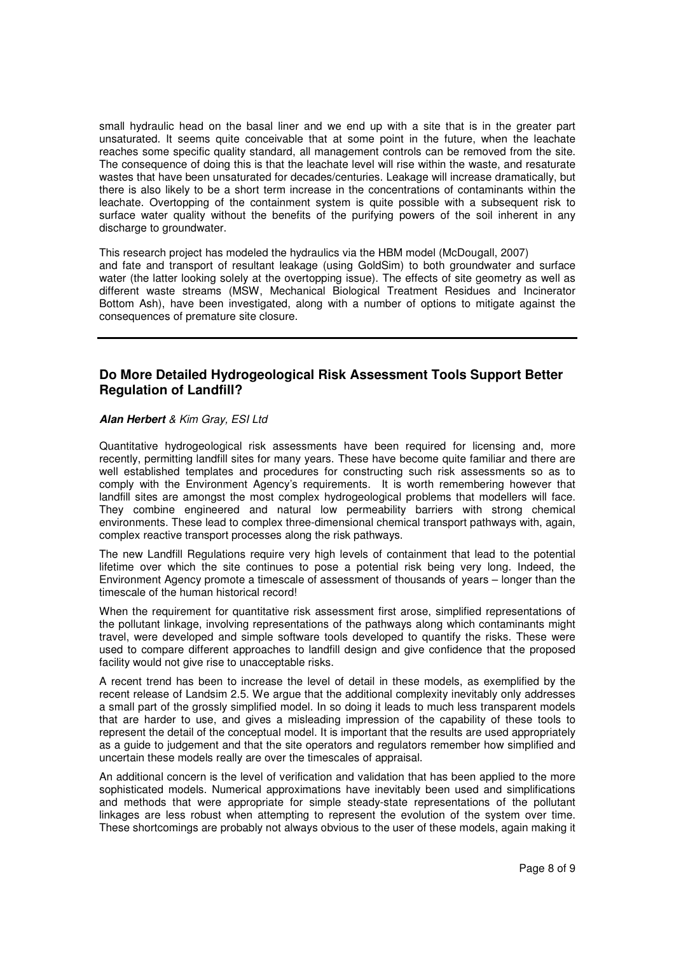small hydraulic head on the basal liner and we end up with a site that is in the greater part unsaturated. It seems quite conceivable that at some point in the future, when the leachate reaches some specific quality standard, all management controls can be removed from the site. The consequence of doing this is that the leachate level will rise within the waste, and resaturate wastes that have been unsaturated for decades/centuries. Leakage will increase dramatically, but there is also likely to be a short term increase in the concentrations of contaminants within the leachate. Overtopping of the containment system is quite possible with a subsequent risk to surface water quality without the benefits of the purifying powers of the soil inherent in any discharge to groundwater.

This research project has modeled the hydraulics via the HBM model (McDougall, 2007) and fate and transport of resultant leakage (using GoldSim) to both groundwater and surface water (the latter looking solely at the overtopping issue). The effects of site geometry as well as different waste streams (MSW, Mechanical Biological Treatment Residues and Incinerator Bottom Ash), have been investigated, along with a number of options to mitigate against the consequences of premature site closure.

### **Do More Detailed Hydrogeological Risk Assessment Tools Support Better Regulation of Landfill?**

#### **Alan Herbert** & Kim Gray, ESI Ltd

Quantitative hydrogeological risk assessments have been required for licensing and, more recently, permitting landfill sites for many years. These have become quite familiar and there are well established templates and procedures for constructing such risk assessments so as to comply with the Environment Agency's requirements. It is worth remembering however that landfill sites are amongst the most complex hydrogeological problems that modellers will face. They combine engineered and natural low permeability barriers with strong chemical environments. These lead to complex three-dimensional chemical transport pathways with, again, complex reactive transport processes along the risk pathways.

The new Landfill Regulations require very high levels of containment that lead to the potential lifetime over which the site continues to pose a potential risk being very long. Indeed, the Environment Agency promote a timescale of assessment of thousands of years – longer than the timescale of the human historical record!

When the requirement for quantitative risk assessment first arose, simplified representations of the pollutant linkage, involving representations of the pathways along which contaminants might travel, were developed and simple software tools developed to quantify the risks. These were used to compare different approaches to landfill design and give confidence that the proposed facility would not give rise to unacceptable risks.

A recent trend has been to increase the level of detail in these models, as exemplified by the recent release of Landsim 2.5. We argue that the additional complexity inevitably only addresses a small part of the grossly simplified model. In so doing it leads to much less transparent models that are harder to use, and gives a misleading impression of the capability of these tools to represent the detail of the conceptual model. It is important that the results are used appropriately as a guide to judgement and that the site operators and regulators remember how simplified and uncertain these models really are over the timescales of appraisal.

An additional concern is the level of verification and validation that has been applied to the more sophisticated models. Numerical approximations have inevitably been used and simplifications and methods that were appropriate for simple steady-state representations of the pollutant linkages are less robust when attempting to represent the evolution of the system over time. These shortcomings are probably not always obvious to the user of these models, again making it